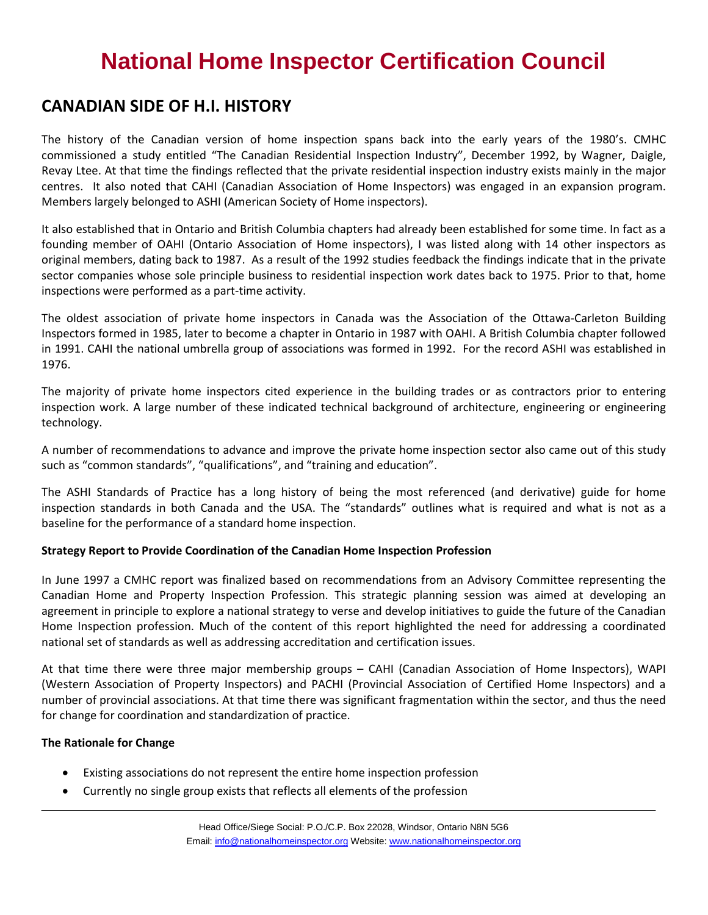### **CANADIAN SIDE OF H.I. HISTORY**

The history of the Canadian version of home inspection spans back into the early years of the 1980's. CMHC commissioned a study entitled "The Canadian Residential Inspection Industry", December 1992, by Wagner, Daigle, Revay Ltee. At that time the findings reflected that the private residential inspection industry exists mainly in the major centres. It also noted that CAHI (Canadian Association of Home Inspectors) was engaged in an expansion program. Members largely belonged to ASHI (American Society of Home inspectors).

It also established that in Ontario and British Columbia chapters had already been established for some time. In fact as a founding member of OAHI (Ontario Association of Home inspectors), I was listed along with 14 other inspectors as original members, dating back to 1987. As a result of the 1992 studies feedback the findings indicate that in the private sector companies whose sole principle business to residential inspection work dates back to 1975. Prior to that, home inspections were performed as a part-time activity.

The oldest association of private home inspectors in Canada was the Association of the Ottawa-Carleton Building Inspectors formed in 1985, later to become a chapter in Ontario in 1987 with OAHI. A British Columbia chapter followed in 1991. CAHI the national umbrella group of associations was formed in 1992. For the record ASHI was established in 1976.

The majority of private home inspectors cited experience in the building trades or as contractors prior to entering inspection work. A large number of these indicated technical background of architecture, engineering or engineering technology.

A number of recommendations to advance and improve the private home inspection sector also came out of this study such as "common standards", "qualifications", and "training and education".

The ASHI Standards of Practice has a long history of being the most referenced (and derivative) guide for home inspection standards in both Canada and the USA. The "standards" outlines what is required and what is not as a baseline for the performance of a standard home inspection.

#### **Strategy Report to Provide Coordination of the Canadian Home Inspection Profession**

In June 1997 a CMHC report was finalized based on recommendations from an Advisory Committee representing the Canadian Home and Property Inspection Profession. This strategic planning session was aimed at developing an agreement in principle to explore a national strategy to verse and develop initiatives to guide the future of the Canadian Home Inspection profession. Much of the content of this report highlighted the need for addressing a coordinated national set of standards as well as addressing accreditation and certification issues.

At that time there were three major membership groups – CAHI (Canadian Association of Home Inspectors), WAPI (Western Association of Property Inspectors) and PACHI (Provincial Association of Certified Home Inspectors) and a number of provincial associations. At that time there was significant fragmentation within the sector, and thus the need for change for coordination and standardization of practice.

#### **The Rationale for Change**

- Existing associations do not represent the entire home inspection profession
- Currently no single group exists that reflects all elements of the profession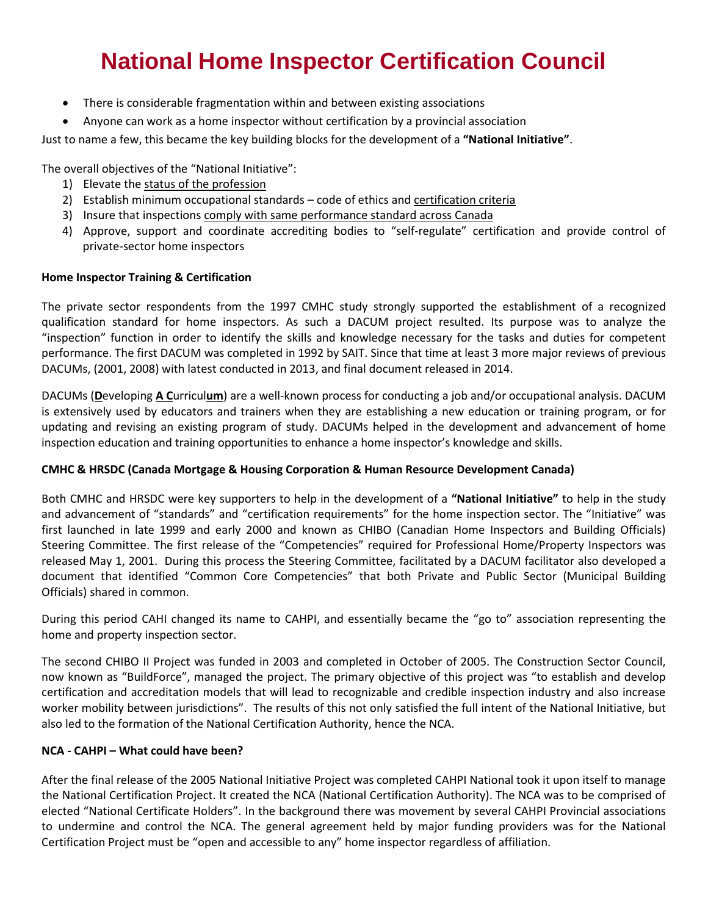- There is considerable fragmentation within and between existing associations
- Anyone can work as a home inspector without certification by a provincial association

Just to name a few, this became the key building blocks for the development of a **"National Initiative"**.

The overall objectives of the "National Initiative":

- 1) Elevate the status of the profession
- 2) Establish minimum occupational standards code of ethics and certification criteria
- 3) Insure that inspections comply with same performance standard across Canada
- 4) Approve, support and coordinate accrediting bodies to "self-regulate" certification and provide control of private-sector home inspectors

#### **Home Inspector Training & Certification**

The private sector respondents from the 1997 CMHC study strongly supported the establishment of a recognized qualification standard for home inspectors. As such a DACUM project resulted. Its purpose was to analyze the "inspection" function in order to identify the skills and knowledge necessary for the tasks and duties for competent performance. The first DACUM was completed in 1992 by SAIT. Since that time at least 3 more major reviews of previous DACUMs, (2001, 2008) with latest conducted in 2013, and final document released in 2014.

DACUMs (**D**eveloping **A C**urricul**um**) are a well-known process for conducting a job and/or occupational analysis. DACUM is extensively used by educators and trainers when they are establishing a new education or training program, or for updating and revising an existing program of study. DACUMs helped in the development and advancement of home inspection education and training opportunities to enhance a home inspector's knowledge and skills.

#### **CMHC & HRSDC (Canada Mortgage & Housing Corporation & Human Resource Development Canada)**

Both CMHC and HRSDC were key supporters to help in the development of a **"National Initiative"** to help in the study and advancement of "standards" and "certification requirements" for the home inspection sector. The "Initiative" was first launched in late 1999 and early 2000 and known as CHIBO (Canadian Home Inspectors and Building Officials) Steering Committee. The first release of the "Competencies" required for Professional Home/Property Inspectors was released May 1, 2001. During this process the Steering Committee, facilitated by a DACUM facilitator also developed a document that identified "Common Core Competencies" that both Private and Public Sector (Municipal Building Officials) shared in common.

During this period CAHI changed its name to CAHPI, and essentially became the "go to" association representing the home and property inspection sector.

The second CHIBO II Project was funded in 2003 and completed in October of 2005. The Construction Sector Council, now known as "BuildForce", managed the project. The primary objective of this project was "to establish and develop certification and accreditation models that will lead to recognizable and credible inspection industry and also increase worker mobility between jurisdictions". The results of this not only satisfied the full intent of the National Initiative, but also led to the formation of the National Certification Authority, hence the NCA.

#### **NCA - CAHPI – What could have been?**

After the final release of the 2005 National Initiative Project was completed CAHPI National took it upon itself to manage the National Certification Project. It created the NCA (National Certification Authority). The NCA was to be comprised of elected "National Certificate Holders". In the background there was movement by several CAHPI Provincial associations to undermine and control the NCA. The general agreement held by major funding providers was for the National Certification Project must be "open and accessible to any" home inspector regardless of affiliation.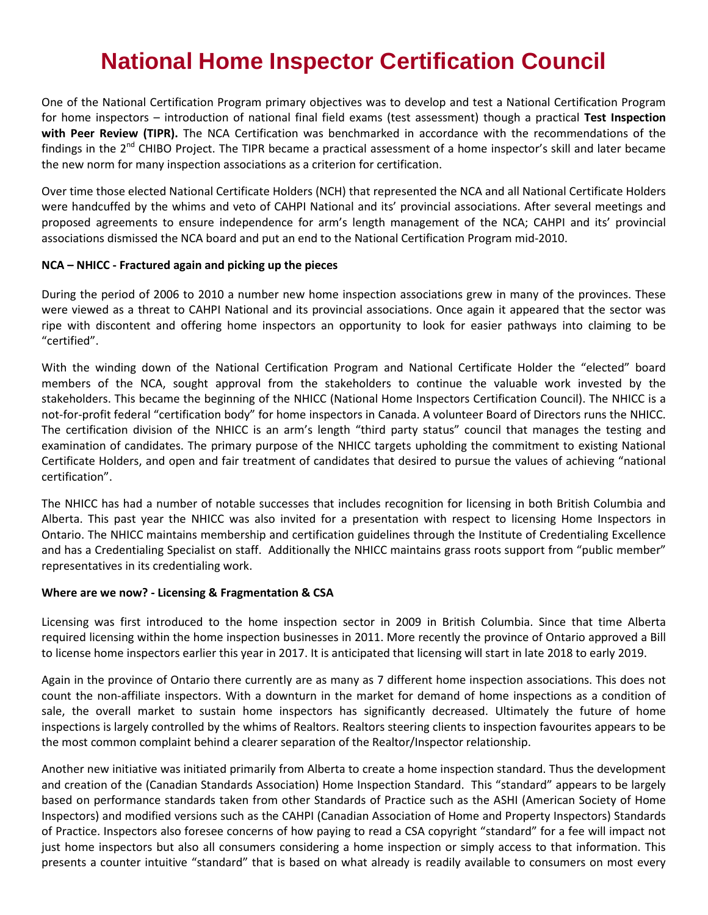One of the National Certification Program primary objectives was to develop and test a National Certification Program for home inspectors – introduction of national final field exams (test assessment) though a practical **Test Inspection with Peer Review (TIPR).** The NCA Certification was benchmarked in accordance with the recommendations of the findings in the 2<sup>nd</sup> CHIBO Project. The TIPR became a practical assessment of a home inspector's skill and later became the new norm for many inspection associations as a criterion for certification.

Over time those elected National Certificate Holders (NCH) that represented the NCA and all National Certificate Holders were handcuffed by the whims and veto of CAHPI National and its' provincial associations. After several meetings and proposed agreements to ensure independence for arm's length management of the NCA; CAHPI and its' provincial associations dismissed the NCA board and put an end to the National Certification Program mid-2010.

#### **NCA – NHICC - Fractured again and picking up the pieces**

During the period of 2006 to 2010 a number new home inspection associations grew in many of the provinces. These were viewed as a threat to CAHPI National and its provincial associations. Once again it appeared that the sector was ripe with discontent and offering home inspectors an opportunity to look for easier pathways into claiming to be "certified".

With the winding down of the National Certification Program and National Certificate Holder the "elected" board members of the NCA, sought approval from the stakeholders to continue the valuable work invested by the stakeholders. This became the beginning of the NHICC (National Home Inspectors Certification Council). The NHICC is a not-for-profit federal "certification body" for home inspectors in Canada. A volunteer Board of Directors runs the NHICC. The certification division of the NHICC is an arm's length "third party status" council that manages the testing and examination of candidates. The primary purpose of the NHICC targets upholding the commitment to existing National Certificate Holders, and open and fair treatment of candidates that desired to pursue the values of achieving "national certification".

The NHICC has had a number of notable successes that includes recognition for licensing in both British Columbia and Alberta. This past year the NHICC was also invited for a presentation with respect to licensing Home Inspectors in Ontario. The NHICC maintains membership and certification guidelines through the Institute of Credentialing Excellence and has a Credentialing Specialist on staff. Additionally the NHICC maintains grass roots support from "public member" representatives in its credentialing work.

#### **Where are we now? - Licensing & Fragmentation & CSA**

Licensing was first introduced to the home inspection sector in 2009 in British Columbia. Since that time Alberta required licensing within the home inspection businesses in 2011. More recently the province of Ontario approved a Bill to license home inspectors earlier this year in 2017. It is anticipated that licensing will start in late 2018 to early 2019.

Again in the province of Ontario there currently are as many as 7 different home inspection associations. This does not count the non-affiliate inspectors. With a downturn in the market for demand of home inspections as a condition of sale, the overall market to sustain home inspectors has significantly decreased. Ultimately the future of home inspections is largely controlled by the whims of Realtors. Realtors steering clients to inspection favourites appears to be the most common complaint behind a clearer separation of the Realtor/Inspector relationship.

Another new initiative was initiated primarily from Alberta to create a home inspection standard. Thus the development and creation of the (Canadian Standards Association) Home Inspection Standard. This "standard" appears to be largely based on performance standards taken from other Standards of Practice such as the ASHI (American Society of Home Inspectors) and modified versions such as the CAHPI (Canadian Association of Home and Property Inspectors) Standards of Practice. Inspectors also foresee concerns of how paying to read a CSA copyright "standard" for a fee will impact not just home inspectors but also all consumers considering a home inspection or simply access to that information. This presents a counter intuitive "standard" that is based on what already is readily available to consumers on most every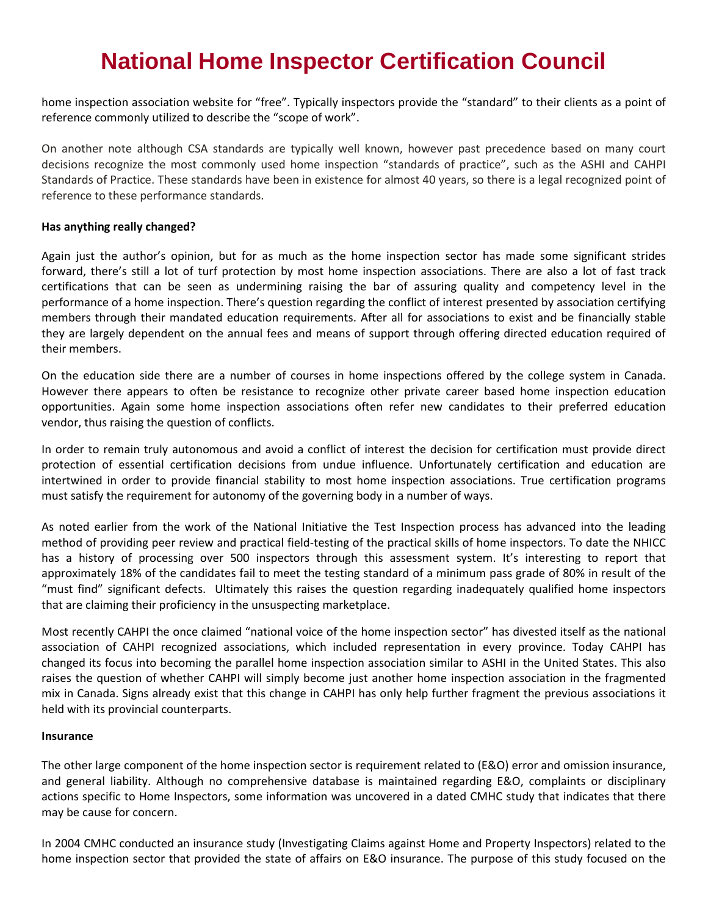home inspection association website for "free". Typically inspectors provide the "standard" to their clients as a point of reference commonly utilized to describe the "scope of work".

On another note although CSA standards are typically well known, however past precedence based on many court decisions recognize the most commonly used home inspection "standards of practice", such as the ASHI and CAHPI Standards of Practice. These standards have been in existence for almost 40 years, so there is a legal recognized point of reference to these performance standards.

#### **Has anything really changed?**

Again just the author's opinion, but for as much as the home inspection sector has made some significant strides forward, there's still a lot of turf protection by most home inspection associations. There are also a lot of fast track certifications that can be seen as undermining raising the bar of assuring quality and competency level in the performance of a home inspection. There's question regarding the conflict of interest presented by association certifying members through their mandated education requirements. After all for associations to exist and be financially stable they are largely dependent on the annual fees and means of support through offering directed education required of their members.

On the education side there are a number of courses in home inspections offered by the college system in Canada. However there appears to often be resistance to recognize other private career based home inspection education opportunities. Again some home inspection associations often refer new candidates to their preferred education vendor, thus raising the question of conflicts.

In order to remain truly autonomous and avoid a conflict of interest the decision for certification must provide direct protection of essential certification decisions from undue influence. Unfortunately certification and education are intertwined in order to provide financial stability to most home inspection associations. True certification programs must satisfy the requirement for autonomy of the governing body in a number of ways.

As noted earlier from the work of the National Initiative the Test Inspection process has advanced into the leading method of providing peer review and practical field-testing of the practical skills of home inspectors. To date the NHICC has a history of processing over 500 inspectors through this assessment system. It's interesting to report that approximately 18% of the candidates fail to meet the testing standard of a minimum pass grade of 80% in result of the "must find" significant defects. Ultimately this raises the question regarding inadequately qualified home inspectors that are claiming their proficiency in the unsuspecting marketplace.

Most recently CAHPI the once claimed "national voice of the home inspection sector" has divested itself as the national association of CAHPI recognized associations, which included representation in every province. Today CAHPI has changed its focus into becoming the parallel home inspection association similar to ASHI in the United States. This also raises the question of whether CAHPI will simply become just another home inspection association in the fragmented mix in Canada. Signs already exist that this change in CAHPI has only help further fragment the previous associations it held with its provincial counterparts.

#### **Insurance**

The other large component of the home inspection sector is requirement related to (E&O) error and omission insurance, and general liability. Although no comprehensive database is maintained regarding E&O, complaints or disciplinary actions specific to Home Inspectors, some information was uncovered in a dated CMHC study that indicates that there may be cause for concern.

In 2004 CMHC conducted an insurance study (Investigating Claims against Home and Property Inspectors) related to the home inspection sector that provided the state of affairs on E&O insurance. The purpose of this study focused on the